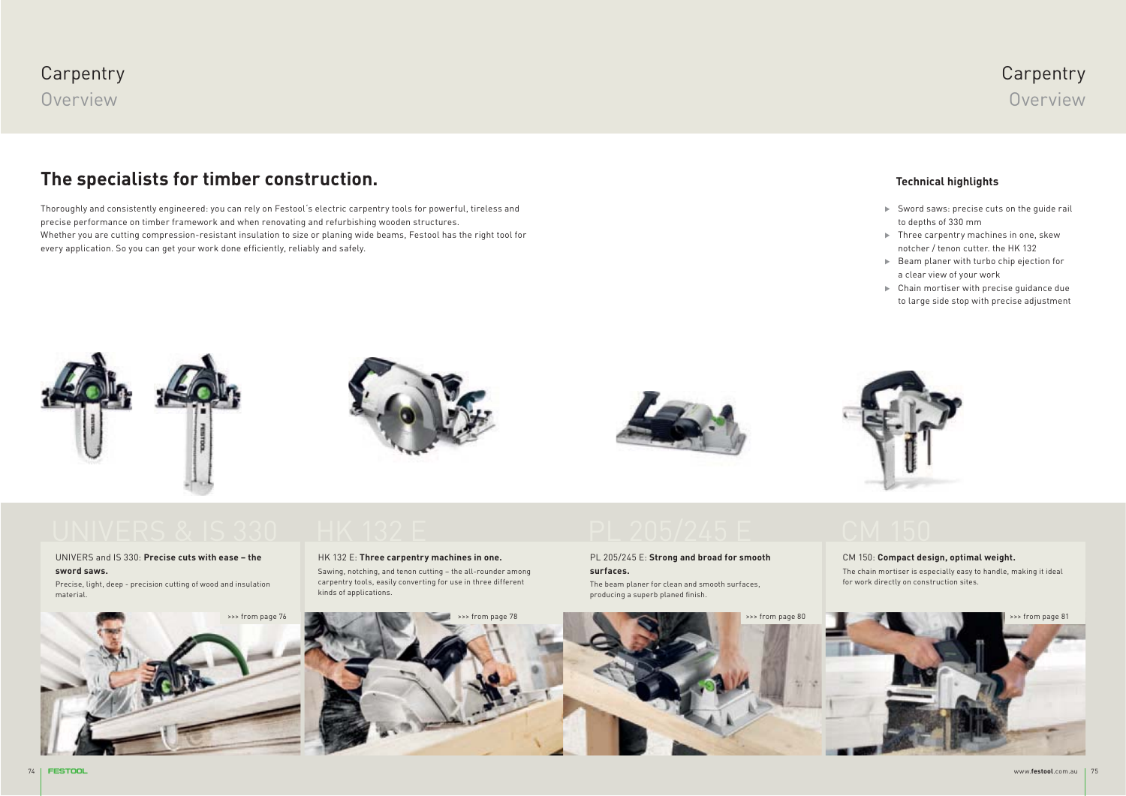### **Carpentry** Overview

#### **The specialists for timber construction.**

Thoroughly and consistently engineered: you can rely on Festool's electric carpentry tools for powerful, tireless and precise performance on timber framework and when renovating and refurbishing wooden structures. Whether you are cutting compression-resistant insulation to size or planing wide beams, Festool has the right tool for every application. So you can get your work done efficiently, reliably and safely.

#### **Technical highlights**

- Sword saws: precise cuts on the guide rail to depths of 330 mm

**Carpentry** Overview

- $\blacktriangleright$  Three carpentry machines in one, skew notcher / tenon cutter. the HK 132
- $\blacktriangleright$  Beam planer with turbo chip ejection for a clear view of your work
- $\blacktriangleright$  Chain mortiser with precise guidance due to large side stop with precise adjustment









#### UNIVERS and IS 330: **Precise cuts with ease – the sword saws.**

Precise, light, deep - precision cutting of wood and insulation material.



#### HK 132 E: **Three carpentry machines in one.**

Sawing, notching, and tenon cutting – the all-rounder among carpentry tools, easily converting for use in three different kinds of applications.

#### PL 205/245 E: **Strong and broad for smooth surfaces.**

The beam planer for clean and smooth surfaces, producing a superb planed finish.

#### CM 150: **Compact design, optimal weight.**

The chain mortiser is especially easy to handle, making it ideal for work directly on construction sites.



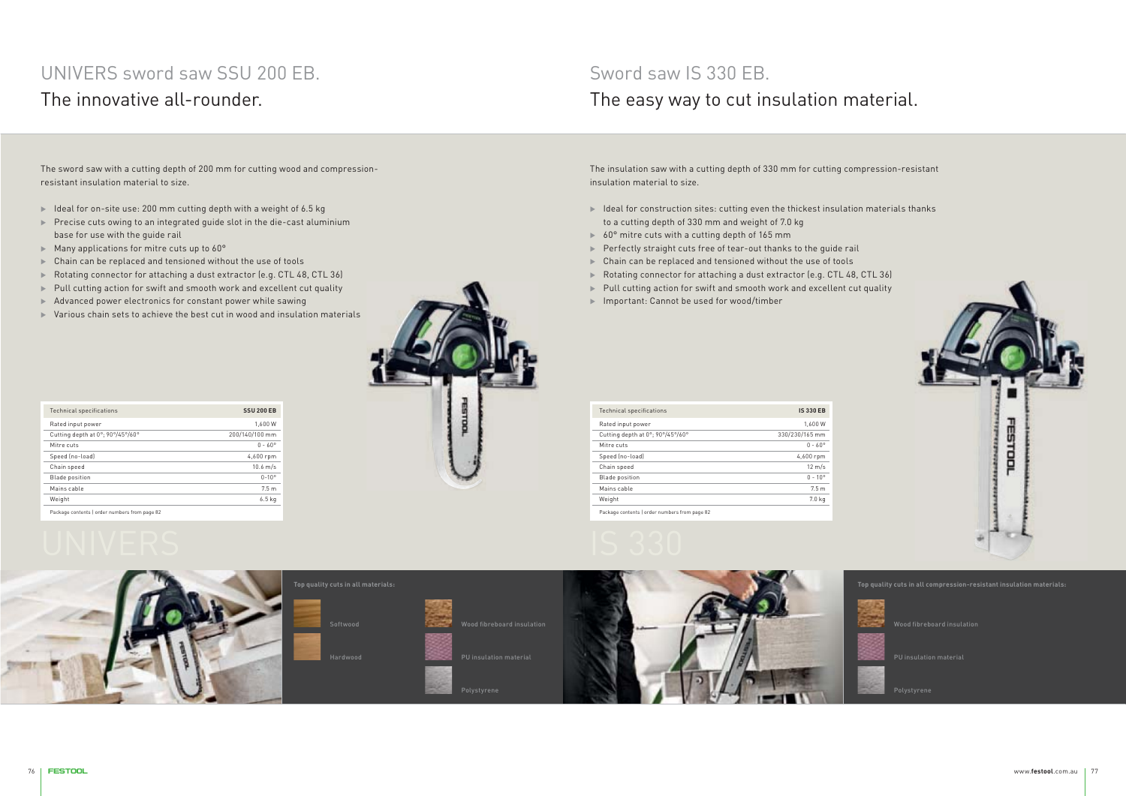## UNIVERS sword saw SSU 200 EB. The innovative all-rounder.

The sword saw with a cutting depth of 200 mm for cutting wood and compressionresistant insulation material to size.

- $\blacktriangleright$  Ideal for on-site use: 200 mm cutting depth with a weight of 6.5 kg
- $\blacktriangleright$  Precise cuts owing to an integrated guide slot in the die-cast aluminium base for use with the guide rail
- $\blacktriangleright$  Many applications for mitre cuts up to 60°
- Chain can be replaced and tensioned without the use of tools
- Rotating connector for attaching a dust extractor (e.g. CTL 48, CTL 36)
- $\blacktriangleright$  Pull cutting action for swift and smooth work and excellent cut quality
- $\blacktriangleright$  Advanced power electronics for constant power while sawing
- $\blacktriangleright$  Various chain sets to achieve the best cut in wood and insulation materials

| <b>Technical specifications</b>               | <b>SSU 200 EB</b>  |
|-----------------------------------------------|--------------------|
| Rated input power                             | 1.600 W            |
| Cutting depth at 0°; 90°/45°/60°              | 200/140/100 mm     |
| Mitre cuts                                    | $0 - 60^{\circ}$   |
| Speed (no-load)                               | 4,600 rpm          |
| Chain speed                                   | $10.6 \text{ m/s}$ |
| <b>Blade position</b>                         | $0 - 10^{\circ}$   |
| Mains cable                                   | 7.5 <sub>m</sub>   |
| Weight                                        | $6.5$ kg           |
| Package contents I order numbers from page 82 |                    |



#### Sword saw IS 330 EB. The easy way to cut insulation material.

The insulation saw with a cutting depth of 330 mm for cutting compression-resistant insulation material to size.

- $\blacktriangleright$  Ideal for construction sites: cutting even the thickest insulation materials thanks to a cutting depth of 330 mm and weight of 7.0 kg
- $\blacktriangleright$  60° mitre cuts with a cutting depth of 165 mm
- $\blacktriangleright$  Perfectly straight cuts free of tear-out thanks to the guide rail
- $\blacktriangleright$  Chain can be replaced and tensioned without the use of tools
- Rotating connector for attaching a dust extractor (e.g. CTL 48, CTL 36)
- $\blacktriangleright$  Pull cutting action for swift and smooth work and excellent cut quality
- Important: Cannot be used for wood/timber

| <b>Technical specifications</b>                          | <b>IS 330 EB</b> |
|----------------------------------------------------------|------------------|
| Rated input power                                        | 1.600 W          |
| Cutting depth at 0°; 90°/45°/60°                         | 330/230/165 mm   |
| Mitre cuts                                               | $0 - 60^{\circ}$ |
| Speed (no-load)                                          | 4,600 rpm        |
| Chain speed                                              | $12 \text{ m/s}$ |
| <b>Blade position</b>                                    | $0 - 10^{\circ}$ |
| Mains cable                                              | 7.5 <sub>m</sub> |
| Weight                                                   | 7.0 kg           |
| Producer and catalogue and continued and formation of AA |                  |







**Top quality cuts in all compression-resistant insulation materials:**

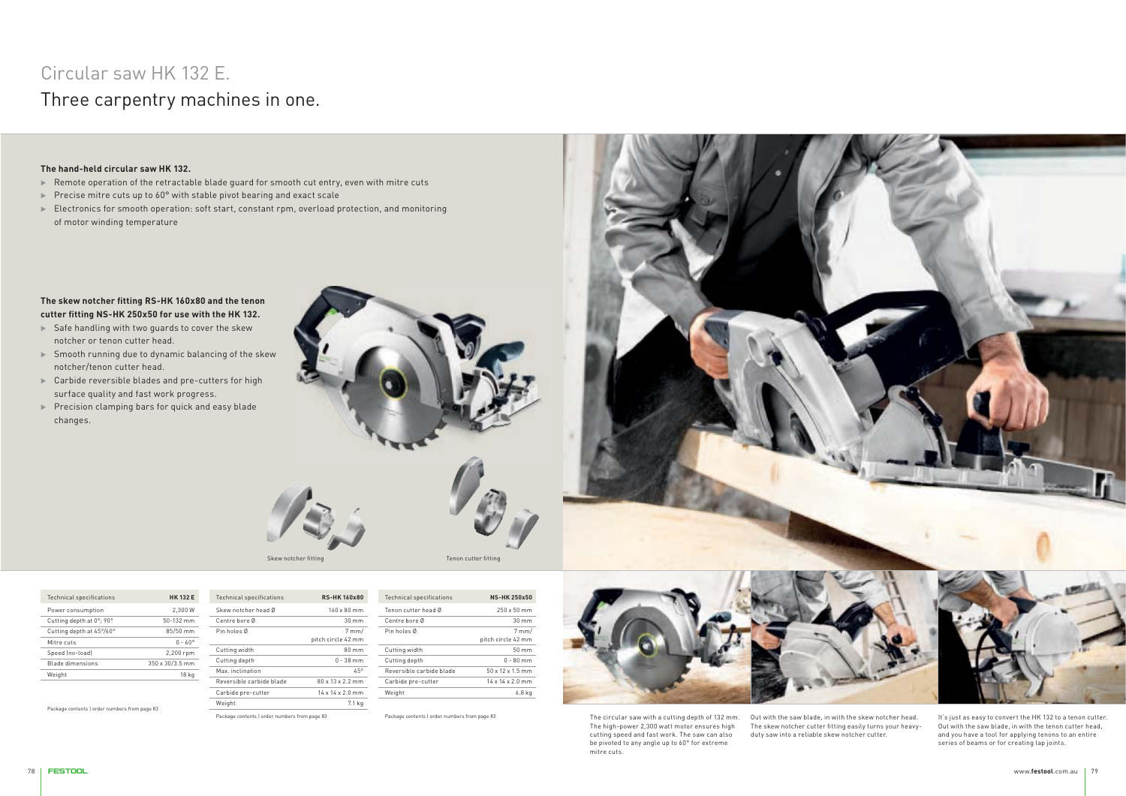## Circular saw HK 132 E. Three carpentry machines in one.

#### **The hand-held circular saw HK 132.**

- $\blacktriangleright$  Remote operation of the retractable blade guard for smooth cut entry, even with mitre cuts
- $\blacktriangleright$  Precise mitre cuts up to 60° with stable pivot bearing and exact scale
- $\blacktriangleright$  Electronics for smooth operation: soft start, constant rpm, overload protection, and monitoring of motor winding temperature

#### **The skew notcher fitting RS-HK 160x80 and the tenon cutter fitting NS-HK 250x50 for use with the HK 132.**

- Safe handling with two guards to cover the skew notcher or tenon cutter head.
- $\blacktriangleright$  Smooth running due to dynamic balancing of the skew notcher/tenon cutter head.
- $\blacktriangleright$  Carbide reversible blades and pre-cutters for high surface quality and fast work progress.
- Precision clamping bars for quick and easy blade changes.



| <b>Technical specifications</b> | <b>HK 132 E</b>  | <b>Technical specifications</b> | <b>RS-HK160x80</b>           |
|---------------------------------|------------------|---------------------------------|------------------------------|
| Power consumption               | 2.300 W          | Skew notcher head Ø             | $160 \times 80$ mm           |
| Cutting depth at 0°; 90°        | $50-132$ mm      | Centre bore Ø                   | $30 \text{ mm}$              |
| Cutting depth at 45°/60°        | 85/50 mm         | Pin holes Ø                     | $7$ mm/                      |
| Mitre cuts                      | $0 - 60^{\circ}$ |                                 | pitch circle 42 mm           |
| Speed (no-load)                 | 2,200 rpm        | Cutting width                   | $80 \text{ mm}$              |
| Blade dimensions                | 350 x 30/3.5 mm  | Cutting depth                   | $0 - 38$ mm                  |
| Weight                          | 18 kg            | Max. inclination.               | 45°                          |
|                                 |                  | Reversible carbide blade        | $80 \times 13 \times 2.2$ mm |
|                                 |                  | Carbide pre-cutter              | 14 x 14 x 2.0 mm             |
|                                 |                  | Weight                          | 7.1 kg                       |

Package contents | order numbers from page 83

| <b>Technical specifications</b> | <b>NS-HK250x50</b>            |
|---------------------------------|-------------------------------|
| Tenon cutter head Ø             | 250 x 50 mm                   |
| Centre bore Ø                   | 30 <sub>mm</sub>              |
| Pin holes Ø                     | $7$ mm/<br>pitch circle 42 mm |
| Cutting width                   | $50 \text{ mm}$               |
| Cutting depth                   | $0 - 80$ mm                   |
| Reversible carbide blade        | $50 \times 12 \times 1.5$ mm  |
| Carbide pre-cutter              | $14 \times 14 \times 2.0$ mm  |
| Weight                          | 6.8 ka                        |

Package contents | order numbers from page 83



The circular saw with a cutting depth of 132 mm. The high-power 2,300 watt motor ensures high cutting speed and fast work. The saw can also be pivoted to any angle up to 60° for extreme mitre cuts.

Out with the saw blade, in with the skew notcher head. The skew notcher cutter fitting easily turns your heavyduty saw into a reliable skew notcher cutter.

It's just as easy to convert the HK 132 to a tenon cutter. Out with the saw blade, in with the tenon cutter head, and you have a tool for applying tenons to an entire series of beams or for creating lap joints.



Package contents | order numbers from page 83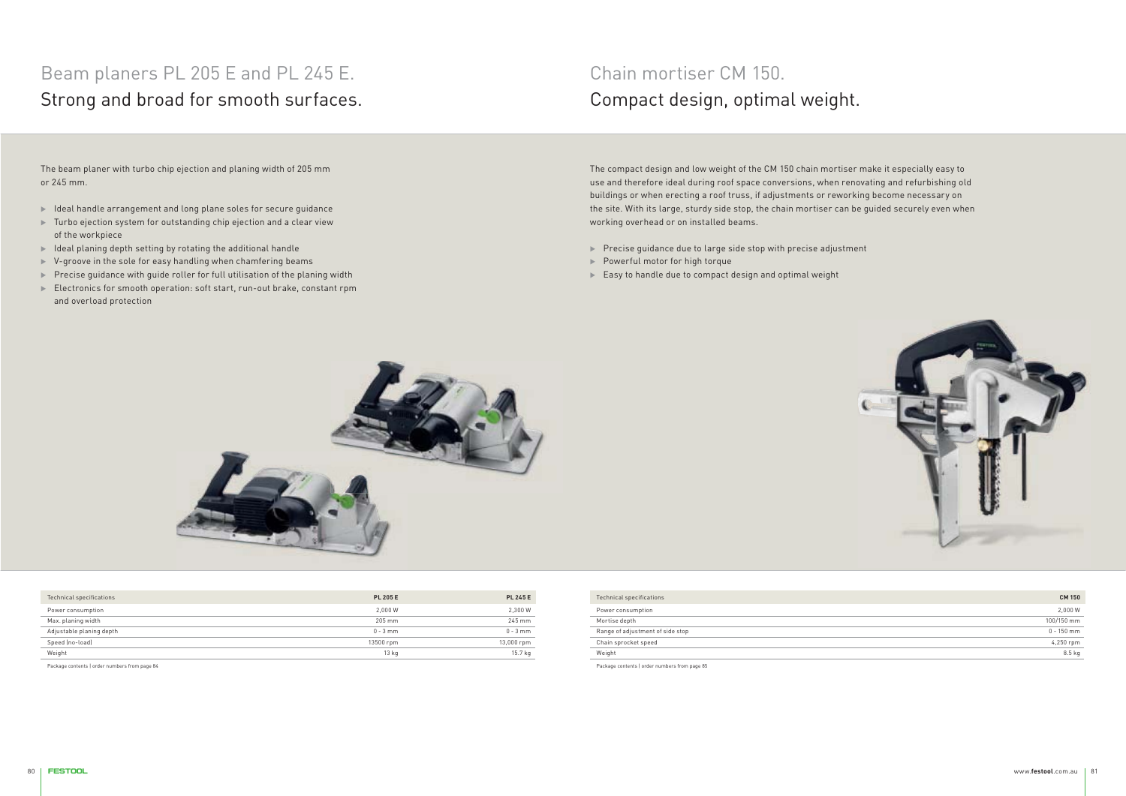# Beam planers PL 205 E and PL 245 E. Strong and broad for smooth surfaces.

The beam planer with turbo chip ejection and planing width of 205 mm or 245 mm.

- $\blacktriangleright$  Ideal handle arrangement and long plane soles for secure guidance
- $\blacktriangleright$  Turbo ejection system for outstanding chip ejection and a clear view of the workpiece
- $\blacktriangleright$  Ideal planing depth setting by rotating the additional handle
- $\blacktriangleright$  V-groove in the sole for easy handling when chamfering beams
- $\blacktriangleright$  Precise guidance with guide roller for full utilisation of the planing width
- $\blacktriangleright$  Electronics for smooth operation: soft start, run-out brake, constant rpm and overload protection

## Chain mortiser CM 150. Compact design, optimal weight.

The compact design and low weight of the CM 150 chain mortiser make it especially easy to use and therefore ideal during roof space conversions, when renovating and refurbishing old buildings or when erecting a roof truss, if adjustments or reworking become necessary on the site. With its large, sturdy side stop, the chain mortiser can be guided securely even when working overhead or on installed beams.

- $\blacktriangleright$  Precise guidance due to large side stop with precise adjustment
- Powerful motor for high torque
- $\blacktriangleright$  Easy to handle due to compact design and optimal weight





| Technical specifications | <b>PL 205 E</b>  | <b>PL 245 E</b> |
|--------------------------|------------------|-----------------|
| Power consumption        | 2.000 W          | 2,300 W         |
| Max. planing width       | 205 mm           | 245 mm          |
| Adjustable planing depth | $0 - 3$ mm       | $0 - 3$ mm      |
| Speed (no-load)          | 13500 rpm        | 13,000 rpm      |
| Weight                   | 13 <sub>kg</sub> | 15.7 kg         |

Package contents | order numbers from page 84

| Technical specifications         | <b>CM 150</b> |
|----------------------------------|---------------|
| Power consumption                | 2,000 W       |
| Mortise depth                    | 100/150 mm    |
| Range of adjustment of side stop | $0 - 150$ mm  |
| Chain sprocket speed             | 4,250 rpm     |
| Weight                           | 8.5 kg        |

Package contents | order numbers from page 85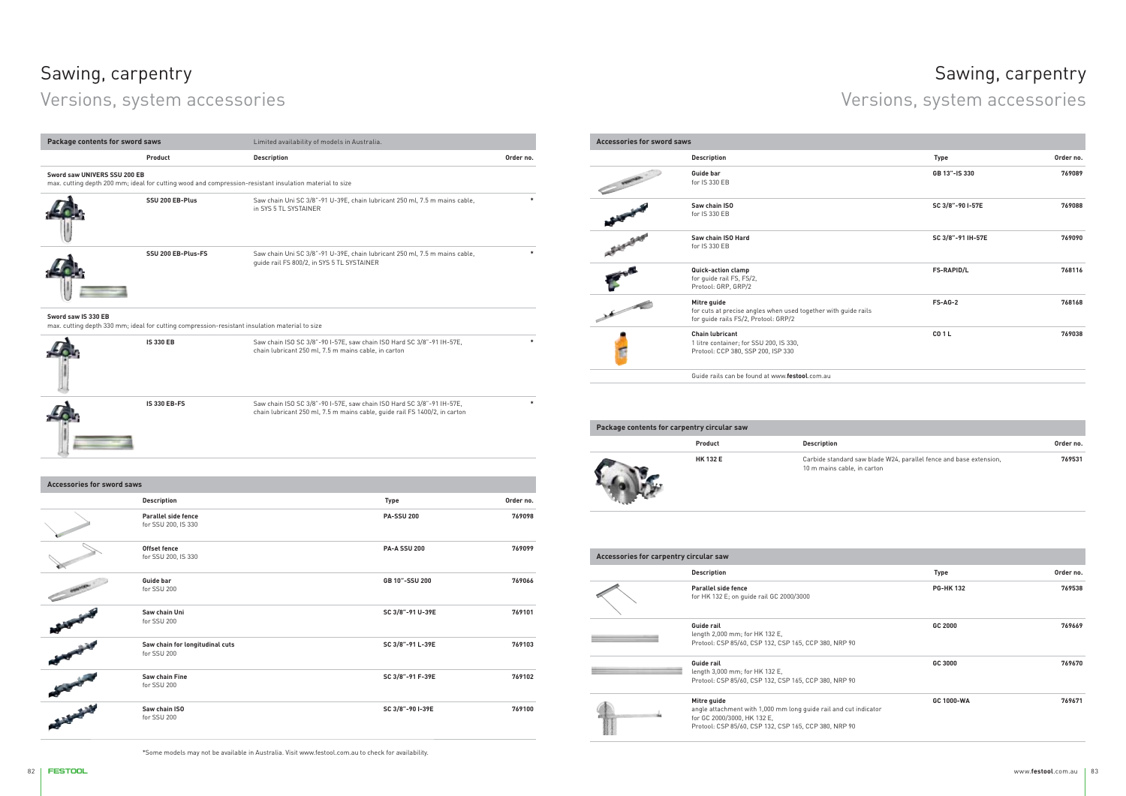# Sawing, carpentry

# Versions, system accessories

**IS 330 EB-FS**

| Package contents for sword saws                                                                                       |                                                                                                         | Limited availability of models in Australia.                                                                                  |           |
|-----------------------------------------------------------------------------------------------------------------------|---------------------------------------------------------------------------------------------------------|-------------------------------------------------------------------------------------------------------------------------------|-----------|
|                                                                                                                       | Product                                                                                                 | <b>Description</b>                                                                                                            | Order no. |
| Sword saw UNIVERS SSU 200 EB                                                                                          | max. cutting depth 200 mm; ideal for cutting wood and compression-resistant insulation material to size |                                                                                                                               |           |
|                                                                                                                       | SSU 200 EB-Plus                                                                                         | Saw chain Uni SC 3/8"-91 U-39E, chain lubricant 250 ml, 7.5 m mains cable,<br>in SYS 5 TL SYSTAINER                           |           |
|                                                                                                                       | SSU 200 EB-Plus-FS                                                                                      | Saw chain Uni SC 3/8"-91 U-39E, chain lubricant 250 ml, 7.5 m mains cable,<br>quide rail FS 800/2, in SYS 5 TL SYSTAINER      |           |
| Sword saw IS 330 EB<br>max. cutting depth 330 mm; ideal for cutting compression-resistant insulation material to size |                                                                                                         |                                                                                                                               |           |
|                                                                                                                       | <b>IS 330 EB</b>                                                                                        | Saw chain ISO SC 3/8"-90 I-57E, saw chain ISO Hard SC 3/8"-91 IH-57E,<br>chain lubricant 250 ml, 7.5 m mains cable, in carton |           |

Saw chain ISO SC 3/8"-90 I-57E, saw chain ISO Hard SC 3/8"-91 IH-57E, chain lubricant 250 ml, 7.5 m mains cable, guide rail FS 1400/2, in carton

**\***

**SC 3/8"-91 F-39E 769102**

769100

| <b>Accessories for sword saws</b> |                                                                                                                       |                   |           |  |
|-----------------------------------|-----------------------------------------------------------------------------------------------------------------------|-------------------|-----------|--|
|                                   | <b>Description</b>                                                                                                    | <b>Type</b>       | Order no. |  |
| <b>PRODUCE</b>                    | Guide bar<br>for IS 330 EB                                                                                            | GB 13"-IS 330     | 769089    |  |
|                                   | Saw chain ISO<br>for IS 330 EB                                                                                        | SC 3/8"-90 I-57E  | 769088    |  |
|                                   | Saw chain ISO Hard<br>for IS 330 FB                                                                                   | SC 3/8"-91 IH-57E | 769090    |  |
|                                   | Quick-action clamp<br>for guide rail FS, FS/2,<br>Protool: GRP, GRP/2                                                 | <b>FS-RAPID/L</b> | 768116    |  |
| $\overline{\phantom{a}}$          | Mitre guide<br>for cuts at precise angles when used together with guide rails<br>for guide rails FS/2, Protool: GRP/2 | $FS-AG-2$         | 768168    |  |
|                                   | <b>Chain lubricant</b><br>1 litre container; for SSU 200, IS 330,<br>Protool: CCP 380, SSP 200, ISP 330               | CO <sub>1</sub> L | 769038    |  |

Guide rails can be found at www.**festool**.com.au

| <b>Accessories for sword saws</b> |                                                |                     |           |
|-----------------------------------|------------------------------------------------|---------------------|-----------|
|                                   | <b>Description</b>                             | <b>Type</b>         | Order no. |
|                                   | Parallel side fence<br>for SSU 200, IS 330     | <b>PA-SSU 200</b>   | 769098    |
|                                   | Offset fence<br>for SSU 200, IS 330            | <b>PA-A SSU 200</b> | 769099    |
|                                   | Guide bar<br>for SSU 200                       | GB 10"-SSU 200      | 769066    |
|                                   | Saw chain Uni<br>for SSU 200                   | SC 3/8"-91 U-39E    | 769101    |
|                                   | Saw chain for longitudinal cuts<br>for SSU 200 | SC 3/8"-91 L-39E    | 769103    |
|                                   | Saw chain Fine<br>for SSU 200                  | SC 3/8"-91 F-39E    | 769102    |
|                                   | Saw chain ISO<br>for SSU 200                   | SC 3/8"-90 I-39E    | 769100    |

| Package contents for carpentry circular saw |                 |                                                                                                   |           |
|---------------------------------------------|-----------------|---------------------------------------------------------------------------------------------------|-----------|
|                                             | Product         | <b>Description</b>                                                                                | Order no. |
|                                             | <b>HK 132 E</b> | Carbide standard saw blade W24, parallel fence and base extension,<br>10 m mains cable, in carton | 769531    |

| Accessories for carpentry circular saw |                                                                                                                                                                         |                 |           |  |
|----------------------------------------|-------------------------------------------------------------------------------------------------------------------------------------------------------------------------|-----------------|-----------|--|
|                                        | <b>Description</b>                                                                                                                                                      | <b>Type</b>     | Order no. |  |
|                                        | Parallel side fence<br>for HK 132 E; on quide rail GC 2000/3000                                                                                                         | <b>PG-HK132</b> | 769538    |  |
|                                        | Guide rail<br>length 2,000 mm; for HK 132 E,<br>Protool: CSP 85/60, CSP 132, CSP 165, CCP 380, NRP 90                                                                   | GC 2000         | 769669    |  |
|                                        | Guide rail<br>length 3,000 mm; for HK 132 E,<br>Protool: CSP 85/60, CSP 132, CSP 165, CCP 380, NRP 90                                                                   | GC 3000         | 769670    |  |
|                                        | Mitre guide<br>angle attachment with 1,000 mm long quide rail and cut indicator<br>for GC 2000/3000, HK 132 E,<br>Protool: CSP 85/60, CSP 132, CSP 165, CCP 380, NRP 90 | GC 1000-WA      | 769671    |  |

## Sawing, carpentry

Versions, system accessories

\*Some models may not be available in Australia. Visit www.festool.com.au to check for availability.